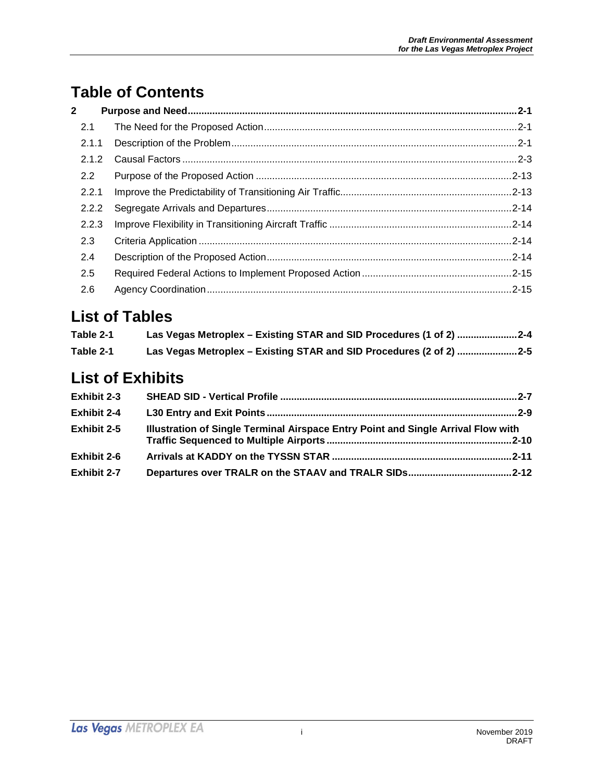# **Table of Contents**

| $\overline{2}$ |       |  |
|----------------|-------|--|
|                | 2.1   |  |
|                | 2.1.1 |  |
|                | 2.1.2 |  |
|                | 2.2   |  |
|                | 2.2.1 |  |
|                | 2.2.2 |  |
|                | 2.2.3 |  |
|                | 2.3   |  |
|                | 2.4   |  |
|                | 2.5   |  |
|                | 2.6   |  |

# **List of Tables**

| Table 2-1 | Las Vegas Metroplex – Existing STAR and SID Procedures (1 of 2) 2-4 |
|-----------|---------------------------------------------------------------------|
| Table 2-1 | Las Vegas Metroplex - Existing STAR and SID Procedures (2 of 2) 2-5 |

# **List of Exhibits**

| Exhibit 2-3        |                                                                                   |  |
|--------------------|-----------------------------------------------------------------------------------|--|
| <b>Exhibit 2-4</b> |                                                                                   |  |
| Exhibit 2-5        | Illustration of Single Terminal Airspace Entry Point and Single Arrival Flow with |  |
| <b>Exhibit 2-6</b> |                                                                                   |  |
| <b>Exhibit 2-7</b> |                                                                                   |  |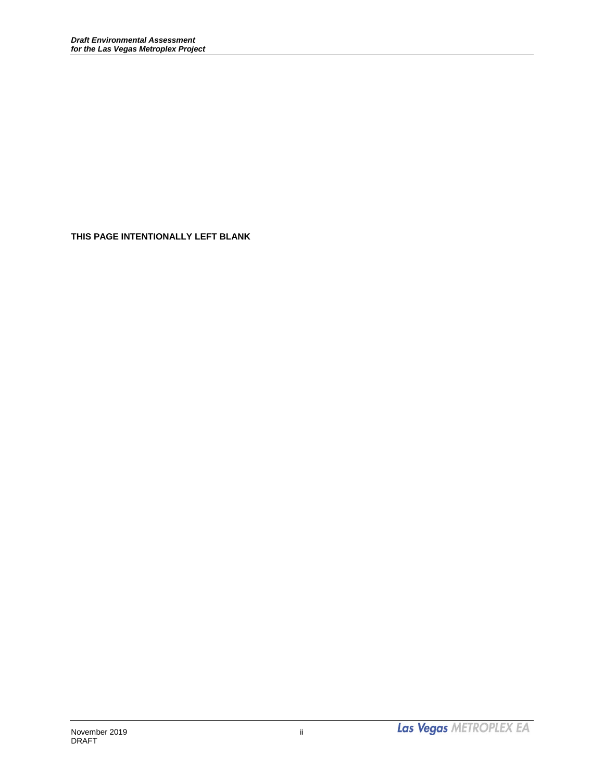**THIS PAGE INTENTIONALLY LEFT BLANK**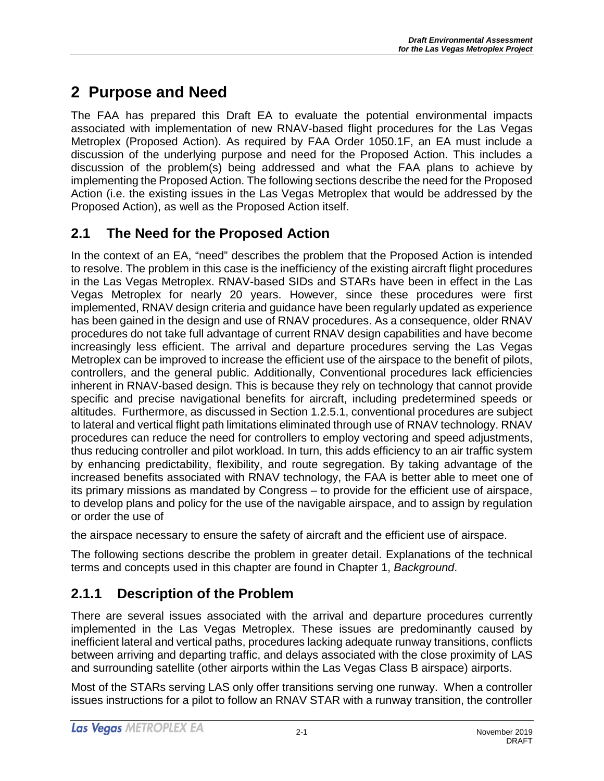# <span id="page-2-0"></span>**2 Purpose and Need**

The FAA has prepared this Draft EA to evaluate the potential environmental impacts associated with implementation of new RNAV-based flight procedures for the Las Vegas Metroplex (Proposed Action). As required by FAA Order 1050.1F, an EA must include a discussion of the underlying purpose and need for the Proposed Action. This includes a discussion of the problem(s) being addressed and what the FAA plans to achieve by implementing the Proposed Action. The following sections describe the need for the Proposed Action (i.e. the existing issues in the Las Vegas Metroplex that would be addressed by the Proposed Action), as well as the Proposed Action itself.

## <span id="page-2-1"></span>**2.1 The Need for the Proposed Action**

In the context of an EA, "need" describes the problem that the Proposed Action is intended to resolve. The problem in this case is the inefficiency of the existing aircraft flight procedures in the Las Vegas Metroplex. RNAV-based SIDs and STARs have been in effect in the Las Vegas Metroplex for nearly 20 years. However, since these procedures were first implemented, RNAV design criteria and guidance have been regularly updated as experience has been gained in the design and use of RNAV procedures. As a consequence, older RNAV procedures do not take full advantage of current RNAV design capabilities and have become increasingly less efficient. The arrival and departure procedures serving the Las Vegas Metroplex can be improved to increase the efficient use of the airspace to the benefit of pilots, controllers, and the general public. Additionally, Conventional procedures lack efficiencies inherent in RNAV-based design. This is because they rely on technology that cannot provide specific and precise navigational benefits for aircraft, including predetermined speeds or altitudes. Furthermore, as discussed in Section 1.2.5.1, conventional procedures are subject to lateral and vertical flight path limitations eliminated through use of RNAV technology. RNAV procedures can reduce the need for controllers to employ vectoring and speed adjustments, thus reducing controller and pilot workload. In turn, this adds efficiency to an air traffic system by enhancing predictability, flexibility, and route segregation. By taking advantage of the increased benefits associated with RNAV technology, the FAA is better able to meet one of its primary missions as mandated by Congress – to provide for the efficient use of airspace, to develop plans and policy for the use of the navigable airspace, and to assign by regulation or order the use of

the airspace necessary to ensure the safety of aircraft and the efficient use of airspace.

The following sections describe the problem in greater detail. Explanations of the technical terms and concepts used in this chapter are found in Chapter 1, *Background*.

# <span id="page-2-2"></span>**2.1.1 Description of the Problem**

There are several issues associated with the arrival and departure procedures currently implemented in the Las Vegas Metroplex. These issues are predominantly caused by inefficient lateral and vertical paths, procedures lacking adequate runway transitions, conflicts between arriving and departing traffic, and delays associated with the close proximity of LAS and surrounding satellite (other airports within the Las Vegas Class B airspace) airports.

Most of the STARs serving LAS only offer transitions serving one runway. When a controller issues instructions for a pilot to follow an RNAV STAR with a runway transition, the controller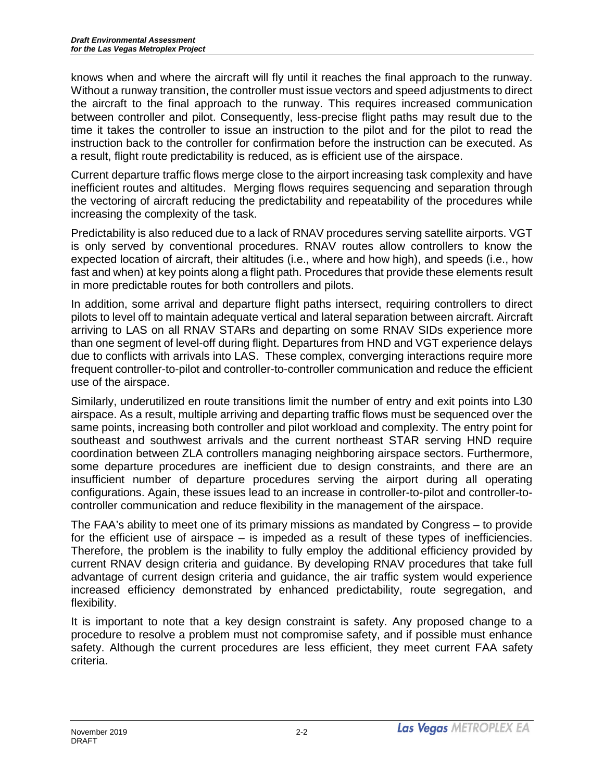knows when and where the aircraft will fly until it reaches the final approach to the runway. Without a runway transition, the controller must issue vectors and speed adjustments to direct the aircraft to the final approach to the runway. This requires increased communication between controller and pilot. Consequently, less-precise flight paths may result due to the time it takes the controller to issue an instruction to the pilot and for the pilot to read the instruction back to the controller for confirmation before the instruction can be executed. As a result, flight route predictability is reduced, as is efficient use of the airspace.

Current departure traffic flows merge close to the airport increasing task complexity and have inefficient routes and altitudes. Merging flows requires sequencing and separation through the vectoring of aircraft reducing the predictability and repeatability of the procedures while increasing the complexity of the task.

Predictability is also reduced due to a lack of RNAV procedures serving satellite airports. VGT is only served by conventional procedures. RNAV routes allow controllers to know the expected location of aircraft, their altitudes (i.e., where and how high), and speeds (i.e., how fast and when) at key points along a flight path. Procedures that provide these elements result in more predictable routes for both controllers and pilots.

In addition, some arrival and departure flight paths intersect, requiring controllers to direct pilots to level off to maintain adequate vertical and lateral separation between aircraft. Aircraft arriving to LAS on all RNAV STARs and departing on some RNAV SIDs experience more than one segment of level-off during flight. Departures from HND and VGT experience delays due to conflicts with arrivals into LAS. These complex, converging interactions require more frequent controller-to-pilot and controller-to-controller communication and reduce the efficient use of the airspace.

Similarly, underutilized en route transitions limit the number of entry and exit points into L30 airspace. As a result, multiple arriving and departing traffic flows must be sequenced over the same points, increasing both controller and pilot workload and complexity. The entry point for southeast and southwest arrivals and the current northeast STAR serving HND require coordination between ZLA controllers managing neighboring airspace sectors. Furthermore, some departure procedures are inefficient due to design constraints, and there are an insufficient number of departure procedures serving the airport during all operating configurations. Again, these issues lead to an increase in controller-to-pilot and controller-tocontroller communication and reduce flexibility in the management of the airspace.

The FAA's ability to meet one of its primary missions as mandated by Congress – to provide for the efficient use of airspace – is impeded as a result of these types of inefficiencies. Therefore, the problem is the inability to fully employ the additional efficiency provided by current RNAV design criteria and guidance. By developing RNAV procedures that take full advantage of current design criteria and guidance, the air traffic system would experience increased efficiency demonstrated by enhanced predictability, route segregation, and flexibility.

It is important to note that a key design constraint is safety. Any proposed change to a procedure to resolve a problem must not compromise safety, and if possible must enhance safety. Although the current procedures are less efficient, they meet current FAA safety criteria.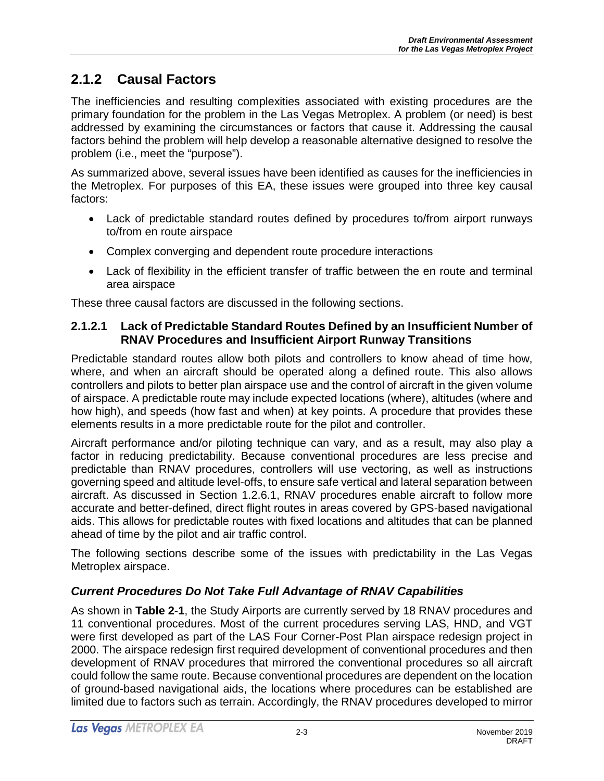## <span id="page-4-0"></span>**2.1.2 Causal Factors**

The inefficiencies and resulting complexities associated with existing procedures are the primary foundation for the problem in the Las Vegas Metroplex. A problem (or need) is best addressed by examining the circumstances or factors that cause it. Addressing the causal factors behind the problem will help develop a reasonable alternative designed to resolve the problem (i.e., meet the "purpose").

As summarized above, several issues have been identified as causes for the inefficiencies in the Metroplex. For purposes of this EA, these issues were grouped into three key causal factors:

- Lack of predictable standard routes defined by procedures to/from airport runways to/from en route airspace
- Complex converging and dependent route procedure interactions
- Lack of flexibility in the efficient transfer of traffic between the en route and terminal area airspace

These three causal factors are discussed in the following sections.

#### **2.1.2.1 Lack of Predictable Standard Routes Defined by an Insufficient Number of RNAV Procedures and Insufficient Airport Runway Transitions**

Predictable standard routes allow both pilots and controllers to know ahead of time how, where, and when an aircraft should be operated along a defined route. This also allows controllers and pilots to better plan airspace use and the control of aircraft in the given volume of airspace. A predictable route may include expected locations (where), altitudes (where and how high), and speeds (how fast and when) at key points. A procedure that provides these elements results in a more predictable route for the pilot and controller.

Aircraft performance and/or piloting technique can vary, and as a result, may also play a factor in reducing predictability. Because conventional procedures are less precise and predictable than RNAV procedures, controllers will use vectoring, as well as instructions governing speed and altitude level-offs, to ensure safe vertical and lateral separation between aircraft. As discussed in Section 1.2.6.1, RNAV procedures enable aircraft to follow more accurate and better-defined, direct flight routes in areas covered by GPS-based navigational aids. This allows for predictable routes with fixed locations and altitudes that can be planned ahead of time by the pilot and air traffic control.

The following sections describe some of the issues with predictability in the Las Vegas Metroplex airspace.

#### *Current Procedures Do Not Take Full Advantage of RNAV Capabilities*

As shown in **Table 2-1**, the Study Airports are currently served by 18 RNAV procedures and 11 conventional procedures. Most of the current procedures serving LAS, HND, and VGT were first developed as part of the LAS Four Corner-Post Plan airspace redesign project in 2000. The airspace redesign first required development of conventional procedures and then development of RNAV procedures that mirrored the conventional procedures so all aircraft could follow the same route. Because conventional procedures are dependent on the location of ground-based navigational aids, the locations where procedures can be established are limited due to factors such as terrain. Accordingly, the RNAV procedures developed to mirror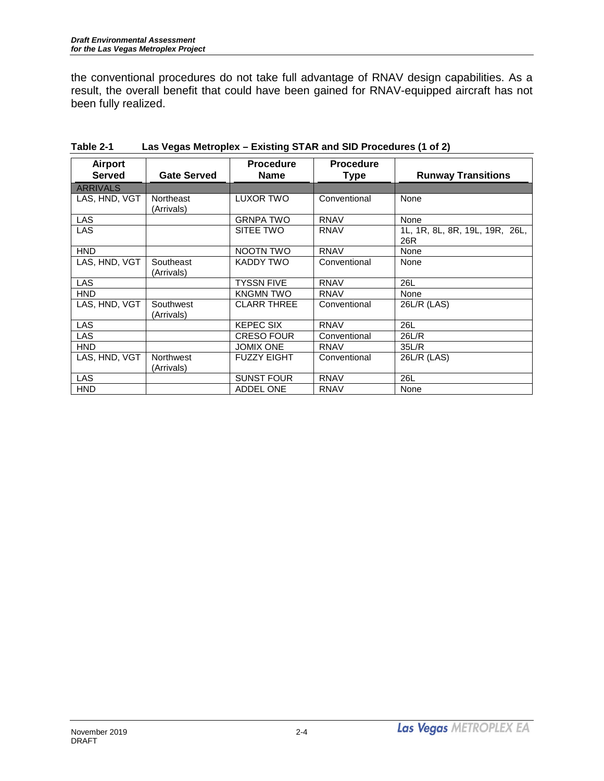the conventional procedures do not take full advantage of RNAV design capabilities. As a result, the overall benefit that could have been gained for RNAV-equipped aircraft has not been fully realized.

| Airport         |                                | <b>Procedure</b>   | <b>Procedure</b> |                                       |
|-----------------|--------------------------------|--------------------|------------------|---------------------------------------|
| <b>Served</b>   | <b>Gate Served</b>             | <b>Name</b>        | <b>Type</b>      | <b>Runway Transitions</b>             |
| <b>ARRIVALS</b> |                                |                    |                  |                                       |
| LAS, HND, VGT   | Northeast<br>(Arrivals)        | LUXOR TWO          | Conventional     | None                                  |
| LAS             |                                | <b>GRNPA TWO</b>   | <b>RNAV</b>      | None                                  |
| LAS             |                                | SITEE TWO          | <b>RNAV</b>      | 1L, 1R, 8L, 8R, 19L, 19R, 26L,<br>26R |
| <b>HND</b>      |                                | NOOTN TWO          | <b>RNAV</b>      | None                                  |
| LAS, HND, VGT   | Southeast<br>(Arrivals)        | KADDY TWO          | Conventional     | None                                  |
| LAS             |                                | <b>TYSSN FIVE</b>  | <b>RNAV</b>      | 26L                                   |
| <b>HND</b>      |                                | <b>KNGMN TWO</b>   | <b>RNAV</b>      | None                                  |
| LAS, HND, VGT   | Southwest<br>(Arrivals)        | <b>CLARR THREE</b> | Conventional     | 26L/R (LAS)                           |
| LAS             |                                | <b>KEPEC SIX</b>   | <b>RNAV</b>      | 26L                                   |
| LAS             |                                | <b>CRESO FOUR</b>  | Conventional     | 26L/R                                 |
| <b>HND</b>      |                                | <b>JOMIX ONE</b>   | <b>RNAV</b>      | 35L/R                                 |
| LAS, HND, VGT   | <b>Northwest</b><br>(Arrivals) | <b>FUZZY EIGHT</b> | Conventional     | 26L/R (LAS)                           |
| LAS             |                                | <b>SUNST FOUR</b>  | <b>RNAV</b>      | 26L                                   |
| <b>HND</b>      |                                | ADDEL ONE          | <b>RNAV</b>      | None                                  |

<span id="page-5-0"></span>**Table 2-1 Las Vegas Metroplex – Existing STAR and SID Procedures (1 of 2)**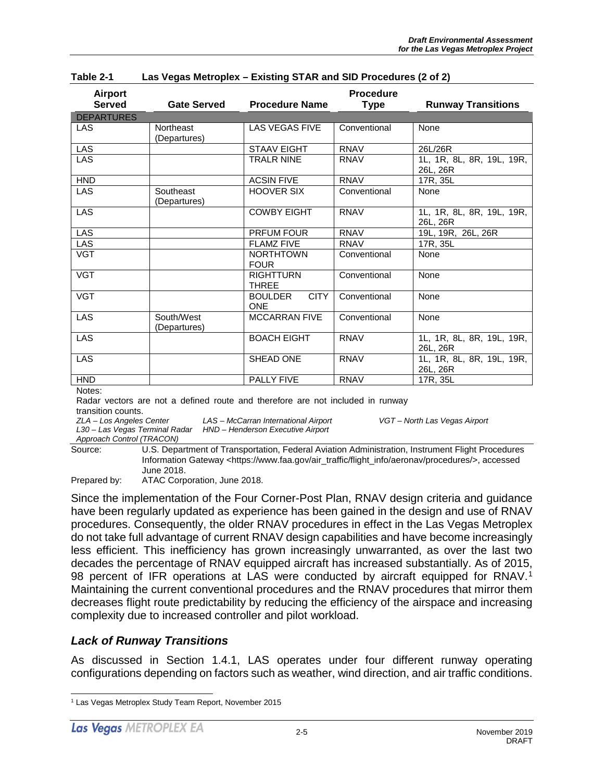| <b>Airport</b><br><b>Served</b> | <b>Gate Served</b>         | <b>Procedure Name</b>                       | <b>Procedure</b><br><b>Type</b> | <b>Runway Transitions</b>             |
|---------------------------------|----------------------------|---------------------------------------------|---------------------------------|---------------------------------------|
| <b>DEPARTURES</b>               |                            |                                             |                                 |                                       |
| <b>LAS</b>                      | Northeast<br>(Departures)  | LAS VEGAS FIVE                              | Conventional                    | None                                  |
| LAS                             |                            | <b>STAAV EIGHT</b>                          | <b>RNAV</b>                     | 26L/26R                               |
| <b>LAS</b>                      |                            | <b>TRALR NINE</b>                           | <b>RNAV</b>                     | 1L, 1R, 8L, 8R, 19L, 19R,<br>26L, 26R |
| <b>HND</b>                      |                            | <b>ACSIN FIVE</b>                           | <b>RNAV</b>                     | 17R, 35L                              |
| LAS                             | Southeast<br>(Departures)  | <b>HOOVER SIX</b>                           | Conventional                    | None                                  |
| <b>LAS</b>                      |                            | <b>COWBY EIGHT</b>                          | <b>RNAV</b>                     | 1L, 1R, 8L, 8R, 19L, 19R,<br>26L, 26R |
| LAS                             |                            | <b>PRFUM FOUR</b>                           | <b>RNAV</b>                     | 19L, 19R, 26L, 26R                    |
| LAS                             |                            | <b>FLAMZ FIVE</b>                           | <b>RNAV</b>                     | 17R, 35L                              |
| <b>VGT</b>                      |                            | <b>NORTHTOWN</b><br><b>FOUR</b>             | Conventional                    | None                                  |
| <b>VGT</b>                      |                            | <b>RIGHTTURN</b><br><b>THREE</b>            | Conventional                    | None                                  |
| <b>VGT</b>                      |                            | <b>CITY</b><br><b>BOULDER</b><br><b>ONE</b> | Conventional                    | None                                  |
| <b>LAS</b>                      | South/West<br>(Departures) | <b>MCCARRAN FIVE</b>                        | Conventional                    | None                                  |
| LAS                             |                            | <b>BOACH EIGHT</b>                          | <b>RNAV</b>                     | 1L, 1R, 8L, 8R, 19L, 19R,<br>26L, 26R |
| LAS                             |                            | SHEAD ONE                                   | <b>RNAV</b>                     | 1L, 1R, 8L, 8R, 19L, 19R,<br>26L, 26R |
| <b>HND</b>                      |                            | <b>PALLY FIVE</b>                           | <b>RNAV</b>                     | 17R, 35L                              |

<span id="page-6-0"></span>**Table 2-1 Las Vegas Metroplex – Existing STAR and SID Procedures (2 of 2)**

Notes:

Radar vectors are not a defined route and therefore are not included in runway

transition counts.<br>ZLA - Los Angeles Center

*ZLA – Los Angeles Center LAS – McCarran International Airport VGT – North Las Vegas Airport L30 – Las Vegas Terminal Radar HND – Henderson Executive Airport Approach Control (TRACON)*

Source: U.S. Department of Transportation, Federal Aviation Administration, Instrument Flight Procedures Information Gateway <https://www.faa.gov/air\_traffic/flight\_info/aeronav/procedures/>, accessed June 2018.

Prepared by: ATAC Corporation, June 2018.

Since the implementation of the Four Corner-Post Plan, RNAV design criteria and guidance have been regularly updated as experience has been gained in the design and use of RNAV procedures. Consequently, the older RNAV procedures in effect in the Las Vegas Metroplex do not take full advantage of current RNAV design capabilities and have become increasingly less efficient. This inefficiency has grown increasingly unwarranted, as over the last two decades the percentage of RNAV equipped aircraft has increased substantially. As of 2015, 98 percent of IFR operations at LAS were conducted by aircraft equipped for RNAV.[1](#page-6-1) Maintaining the current conventional procedures and the RNAV procedures that mirror them decreases flight route predictability by reducing the efficiency of the airspace and increasing complexity due to increased controller and pilot workload.

#### *Lack of Runway Transitions*

As discussed in Section 1.4.1, LAS operates under four different runway operating configurations depending on factors such as weather, wind direction, and air traffic conditions.

<span id="page-6-1"></span> $\overline{a}$ <sup>1</sup> Las Vegas Metroplex Study Team Report, November 2015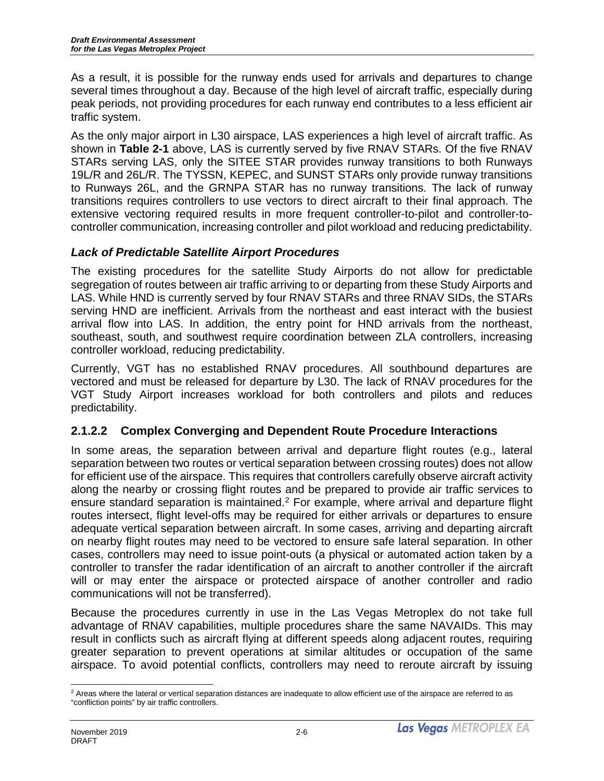As a result, it is possible for the runway ends used for arrivals and departures to change several times throughout a day. Because of the high level of aircraft traffic, especially during peak periods, not providing procedures for each runway end contributes to a less efficient air traffic system.

As the only major airport in L30 airspace, LAS experiences a high level of aircraft traffic. As shown in **Table 2-1** above, LAS is currently served by five RNAV STARs. Of the five RNAV STARs serving LAS, only the SITEE STAR provides runway transitions to both Runways 19L/R and 26L/R. The TYSSN, KEPEC, and SUNST STARs only provide runway transitions to Runways 26L, and the GRNPA STAR has no runway transitions. The lack of runway transitions requires controllers to use vectors to direct aircraft to their final approach. The extensive vectoring required results in more frequent controller-to-pilot and controller-tocontroller communication, increasing controller and pilot workload and reducing predictability.

#### *Lack of Predictable Satellite Airport Procedures*

The existing procedures for the satellite Study Airports do not allow for predictable segregation of routes between air traffic arriving to or departing from these Study Airports and LAS. While HND is currently served by four RNAV STARs and three RNAV SIDs, the STARs serving HND are inefficient. Arrivals from the northeast and east interact with the busiest arrival flow into LAS. In addition, the entry point for HND arrivals from the northeast, southeast, south, and southwest require coordination between ZLA controllers, increasing controller workload, reducing predictability.

Currently, VGT has no established RNAV procedures. All southbound departures are vectored and must be released for departure by L30. The lack of RNAV procedures for the VGT Study Airport increases workload for both controllers and pilots and reduces predictability.

#### **2.1.2.2 Complex Converging and Dependent Route Procedure Interactions**

In some areas, the separation between arrival and departure flight routes (e.g., lateral separation between two routes or vertical separation between crossing routes) does not allow for efficient use of the airspace. This requires that controllers carefully observe aircraft activity along the nearby or crossing flight routes and be prepared to provide air traffic services to ensure standard separation is maintained.[2](#page-7-0) For example, where arrival and departure flight routes intersect, flight level-offs may be required for either arrivals or departures to ensure adequate vertical separation between aircraft. In some cases, arriving and departing aircraft on nearby flight routes may need to be vectored to ensure safe lateral separation. In other cases, controllers may need to issue point-outs (a physical or automated action taken by a controller to transfer the radar identification of an aircraft to another controller if the aircraft will or may enter the airspace or protected airspace of another controller and radio communications will not be transferred).

Because the procedures currently in use in the Las Vegas Metroplex do not take full advantage of RNAV capabilities, multiple procedures share the same NAVAIDs. This may result in conflicts such as aircraft flying at different speeds along adjacent routes, requiring greater separation to prevent operations at similar altitudes or occupation of the same airspace. To avoid potential conflicts, controllers may need to reroute aircraft by issuing

<span id="page-7-0"></span> $\overline{a}$  $^2$  Areas where the lateral or vertical separation distances are inadequate to allow efficient use of the airspace are referred to as "confliction points" by air traffic controllers.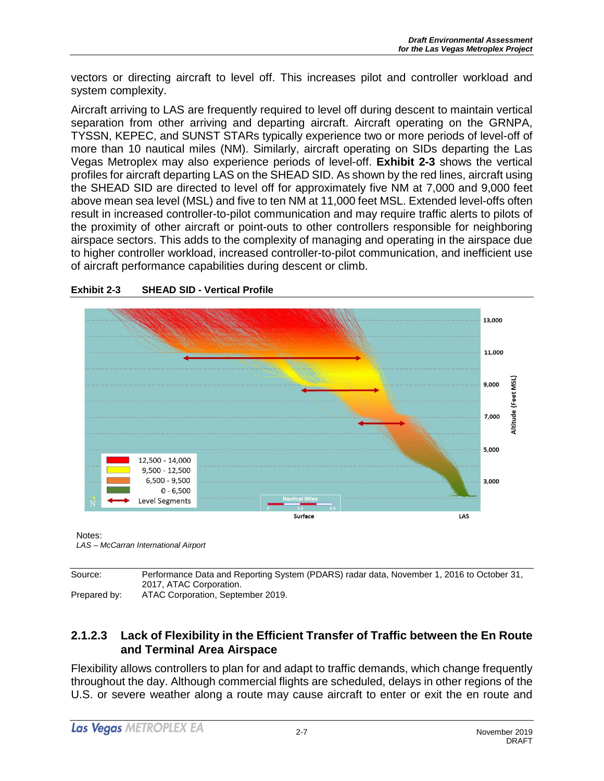vectors or directing aircraft to level off. This increases pilot and controller workload and system complexity.

Aircraft arriving to LAS are frequently required to level off during descent to maintain vertical separation from other arriving and departing aircraft. Aircraft operating on the GRNPA, TYSSN, KEPEC, and SUNST STARs typically experience two or more periods of level-off of more than 10 nautical miles (NM). Similarly, aircraft operating on SIDs departing the Las Vegas Metroplex may also experience periods of level-off. **Exhibit 2-3** shows the vertical profiles for aircraft departing LAS on the SHEAD SID. As shown by the red lines, aircraft using the SHEAD SID are directed to level off for approximately five NM at 7,000 and 9,000 feet above mean sea level (MSL) and five to ten NM at 11,000 feet MSL. Extended level-offs often result in increased controller-to-pilot communication and may require traffic alerts to pilots of the proximity of other aircraft or point-outs to other controllers responsible for neighboring airspace sectors. This adds to the complexity of managing and operating in the airspace due to higher controller workload, increased controller-to-pilot communication, and inefficient use of aircraft performance capabilities during descent or climb.



#### **Exhibit 2-3 SHEAD SID - Vertical Profile**

Notes: *LAS – McCarran International Airport*

Source: Performance Data and Reporting System (PDARS) radar data, November 1, 2016 to October 31, 2017, ATAC Corporation.

Prepared by: ATAC Corporation, September 2019.

#### **2.1.2.3 Lack of Flexibility in the Efficient Transfer of Traffic between the En Route and Terminal Area Airspace**

Flexibility allows controllers to plan for and adapt to traffic demands, which change frequently throughout the day. Although commercial flights are scheduled, delays in other regions of the U.S. or severe weather along a route may cause aircraft to enter or exit the en route and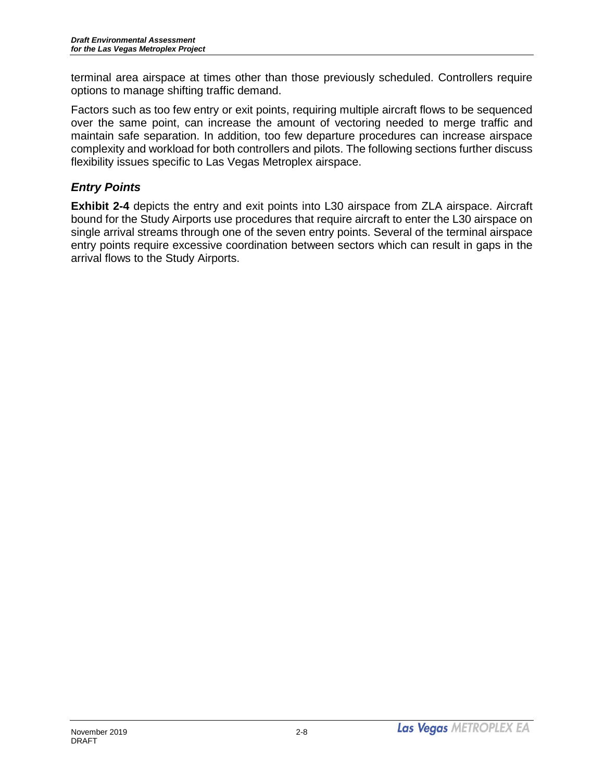terminal area airspace at times other than those previously scheduled. Controllers require options to manage shifting traffic demand.

Factors such as too few entry or exit points, requiring multiple aircraft flows to be sequenced over the same point, can increase the amount of vectoring needed to merge traffic and maintain safe separation. In addition, too few departure procedures can increase airspace complexity and workload for both controllers and pilots. The following sections further discuss flexibility issues specific to Las Vegas Metroplex airspace.

#### *Entry Points*

**Exhibit 2-4** depicts the entry and exit points into L30 airspace from ZLA airspace. Aircraft bound for the Study Airports use procedures that require aircraft to enter the L30 airspace on single arrival streams through one of the seven entry points. Several of the terminal airspace entry points require excessive coordination between sectors which can result in gaps in the arrival flows to the Study Airports.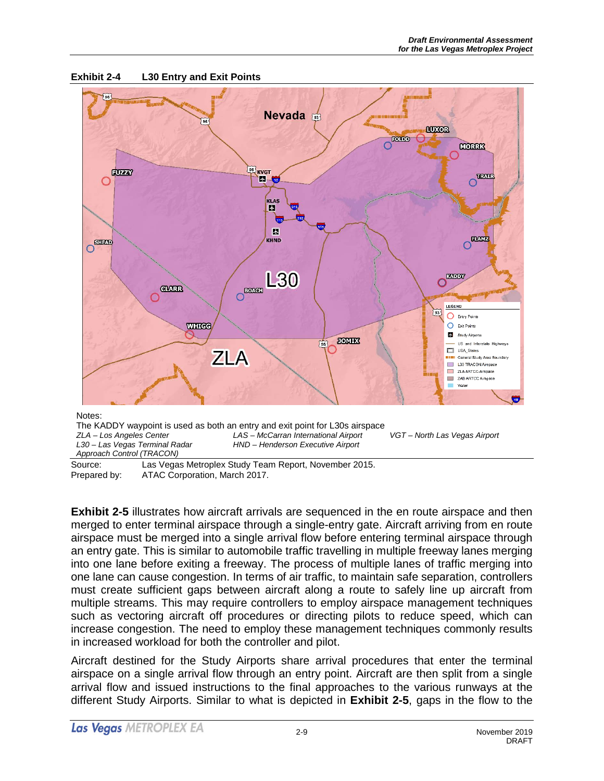

**Exhibit 2-4 L30 Entry and Exit Points** 

*Approach Control (TRACON)* Source: Las Vegas Metroplex Study Team Report, November 2015.<br>Prepared by: ATAC Corporation, March 2017. ATAC Corporation, March 2017.

**Exhibit 2-5** illustrates how aircraft arrivals are sequenced in the en route airspace and then merged to enter terminal airspace through a single-entry gate. Aircraft arriving from en route airspace must be merged into a single arrival flow before entering terminal airspace through an entry gate. This is similar to automobile traffic travelling in multiple freeway lanes merging into one lane before exiting a freeway. The process of multiple lanes of traffic merging into one lane can cause congestion. In terms of air traffic, to maintain safe separation, controllers must create sufficient gaps between aircraft along a route to safely line up aircraft from multiple streams. This may require controllers to employ airspace management techniques such as vectoring aircraft off procedures or directing pilots to reduce speed, which can increase congestion. The need to employ these management techniques commonly results in increased workload for both the controller and pilot.

*HND – Henderson Executive Airport* 

Aircraft destined for the Study Airports share arrival procedures that enter the terminal airspace on a single arrival flow through an entry point. Aircraft are then split from a single arrival flow and issued instructions to the final approaches to the various runways at the different Study Airports. Similar to what is depicted in **Exhibit 2-5**, gaps in the flow to the

*L30 – Las Vegas Terminal Radar*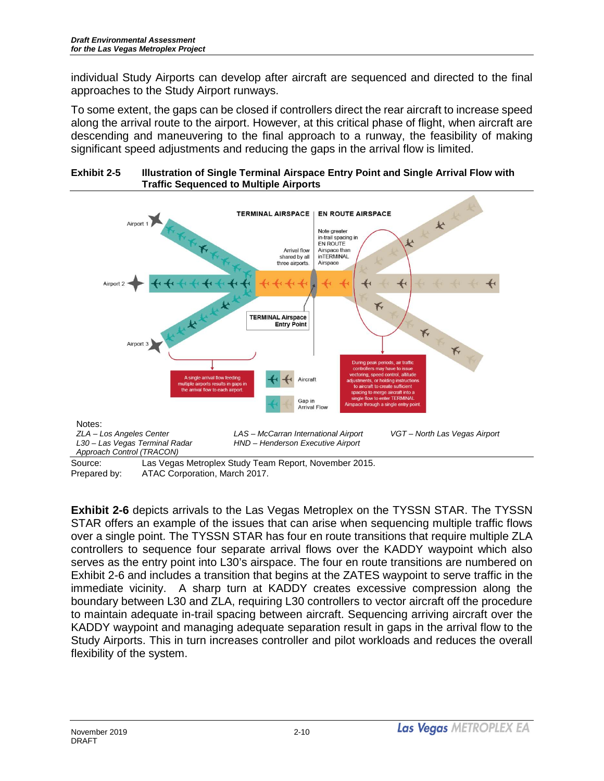individual Study Airports can develop after aircraft are sequenced and directed to the final approaches to the Study Airport runways.

To some extent, the gaps can be closed if controllers direct the rear aircraft to increase speed along the arrival route to the airport. However, at this critical phase of flight, when aircraft are descending and maneuvering to the final approach to a runway, the feasibility of making significant speed adjustments and reducing the gaps in the arrival flow is limited.





Prepared by: ATAC Corporation, March 2017.

**Exhibit 2-6** depicts arrivals to the Las Vegas Metroplex on the TYSSN STAR. The TYSSN STAR offers an example of the issues that can arise when sequencing multiple traffic flows over a single point. The TYSSN STAR has four en route transitions that require multiple ZLA controllers to sequence four separate arrival flows over the KADDY waypoint which also serves as the entry point into L30's airspace. The four en route transitions are numbered on Exhibit 2-6 and includes a transition that begins at the ZATES waypoint to serve traffic in the immediate vicinity. A sharp turn at KADDY creates excessive compression along the boundary between L30 and ZLA, requiring L30 controllers to vector aircraft off the procedure to maintain adequate in-trail spacing between aircraft. Sequencing arriving aircraft over the KADDY waypoint and managing adequate separation result in gaps in the arrival flow to the Study Airports. This in turn increases controller and pilot workloads and reduces the overall flexibility of the system.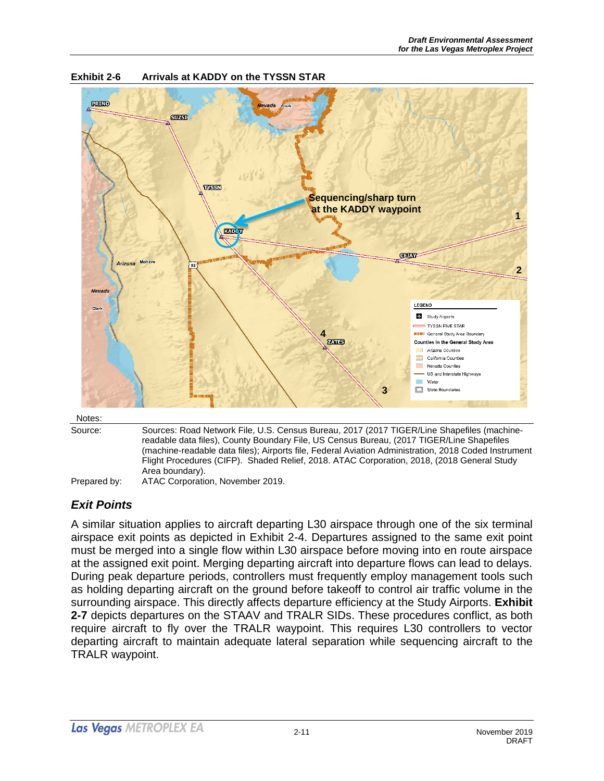



Source: Sources: Road Network File, U.S. Census Bureau, 2017 (2017 TIGER/Line Shapefiles (machinereadable data files), County Boundary File, US Census Bureau, (2017 TIGER/Line Shapefiles (machine-readable data files); Airports file, Federal Aviation Administration, 2018 Coded Instrument Flight Procedures (CIFP). Shaded Relief, 2018. ATAC Corporation, 2018, (2018 General Study Area boundary).

Prepared by: ATAC Corporation, November 2019.

#### *Exit Points*

A similar situation applies to aircraft departing L30 airspace through one of the six terminal airspace exit points as depicted in Exhibit 2-4. Departures assigned to the same exit point must be merged into a single flow within L30 airspace before moving into en route airspace at the assigned exit point. Merging departing aircraft into departure flows can lead to delays. During peak departure periods, controllers must frequently employ management tools such as holding departing aircraft on the ground before takeoff to control air traffic volume in the surrounding airspace. This directly affects departure efficiency at the Study Airports. **Exhibit 2-7** depicts departures on the STAAV and TRALR SIDs. These procedures conflict, as both require aircraft to fly over the TRALR waypoint. This requires L30 controllers to vector departing aircraft to maintain adequate lateral separation while sequencing aircraft to the TRALR waypoint.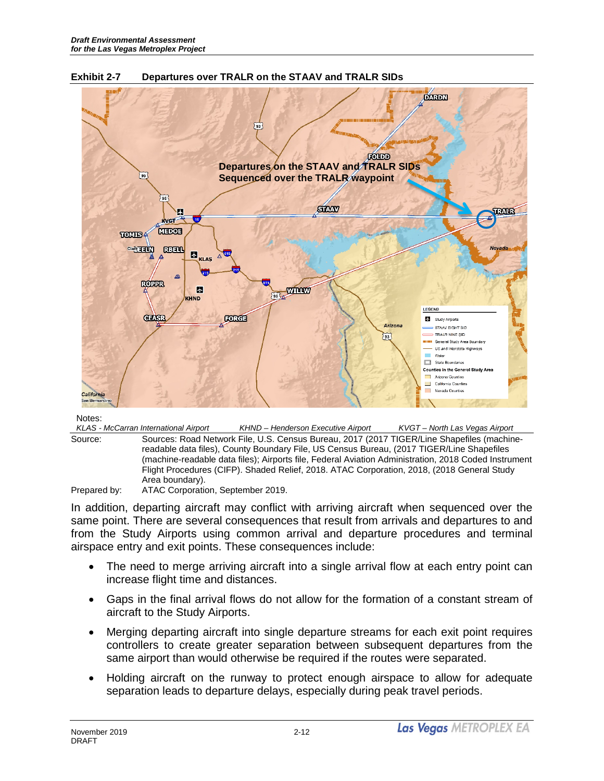



Notes:

*KLAS - McCarran International Airport KHND – Henderson Executive Airport KVGT – North Las Vegas Airport* Source: Sources: Road Network File, U.S. Census Bureau, 2017 (2017 TIGER/Line Shapefiles (machinereadable data files), County Boundary File, US Census Bureau, (2017 TIGER/Line Shapefiles (machine-readable data files); Airports file, Federal Aviation Administration, 2018 Coded Instrument Flight Procedures (CIFP). Shaded Relief, 2018. ATAC Corporation, 2018, (2018 General Study Area boundary).

Prepared by: ATAC Corporation, September 2019.

In addition, departing aircraft may conflict with arriving aircraft when sequenced over the same point. There are several consequences that result from arrivals and departures to and from the Study Airports using common arrival and departure procedures and terminal airspace entry and exit points. These consequences include:

- The need to merge arriving aircraft into a single arrival flow at each entry point can increase flight time and distances.
- Gaps in the final arrival flows do not allow for the formation of a constant stream of aircraft to the Study Airports.
- Merging departing aircraft into single departure streams for each exit point requires controllers to create greater separation between subsequent departures from the same airport than would otherwise be required if the routes were separated.
- Holding aircraft on the runway to protect enough airspace to allow for adequate separation leads to departure delays, especially during peak travel periods.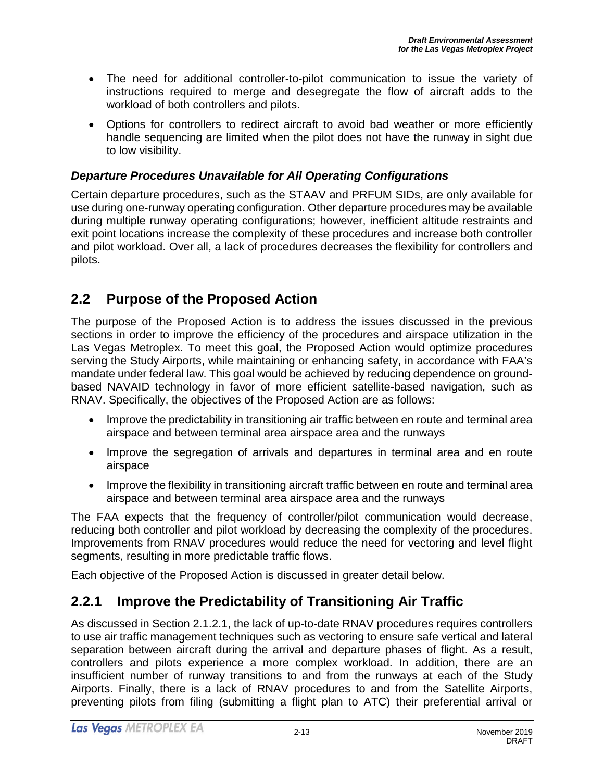- The need for additional controller-to-pilot communication to issue the variety of instructions required to merge and desegregate the flow of aircraft adds to the workload of both controllers and pilots.
- Options for controllers to redirect aircraft to avoid bad weather or more efficiently handle sequencing are limited when the pilot does not have the runway in sight due to low visibility.

#### *Departure Procedures Unavailable for All Operating Configurations*

Certain departure procedures, such as the STAAV and PRFUM SIDs, are only available for use during one-runway operating configuration. Other departure procedures may be available during multiple runway operating configurations; however, inefficient altitude restraints and exit point locations increase the complexity of these procedures and increase both controller and pilot workload. Over all, a lack of procedures decreases the flexibility for controllers and pilots.

### <span id="page-14-0"></span>**2.2 Purpose of the Proposed Action**

The purpose of the Proposed Action is to address the issues discussed in the previous sections in order to improve the efficiency of the procedures and airspace utilization in the Las Vegas Metroplex. To meet this goal, the Proposed Action would optimize procedures serving the Study Airports, while maintaining or enhancing safety, in accordance with FAA's mandate under federal law. This goal would be achieved by reducing dependence on groundbased NAVAID technology in favor of more efficient satellite-based navigation, such as RNAV. Specifically, the objectives of the Proposed Action are as follows:

- Improve the predictability in transitioning air traffic between en route and terminal area airspace and between terminal area airspace area and the runways
- Improve the segregation of arrivals and departures in terminal area and en route airspace
- Improve the flexibility in transitioning aircraft traffic between en route and terminal area airspace and between terminal area airspace area and the runways

The FAA expects that the frequency of controller/pilot communication would decrease, reducing both controller and pilot workload by decreasing the complexity of the procedures. Improvements from RNAV procedures would reduce the need for vectoring and level flight segments, resulting in more predictable traffic flows.

Each objective of the Proposed Action is discussed in greater detail below.

### <span id="page-14-1"></span>**2.2.1 Improve the Predictability of Transitioning Air Traffic**

As discussed in Section 2.1.2.1, the lack of up-to-date RNAV procedures requires controllers to use air traffic management techniques such as vectoring to ensure safe vertical and lateral separation between aircraft during the arrival and departure phases of flight. As a result, controllers and pilots experience a more complex workload. In addition, there are an insufficient number of runway transitions to and from the runways at each of the Study Airports. Finally, there is a lack of RNAV procedures to and from the Satellite Airports, preventing pilots from filing (submitting a flight plan to ATC) their preferential arrival or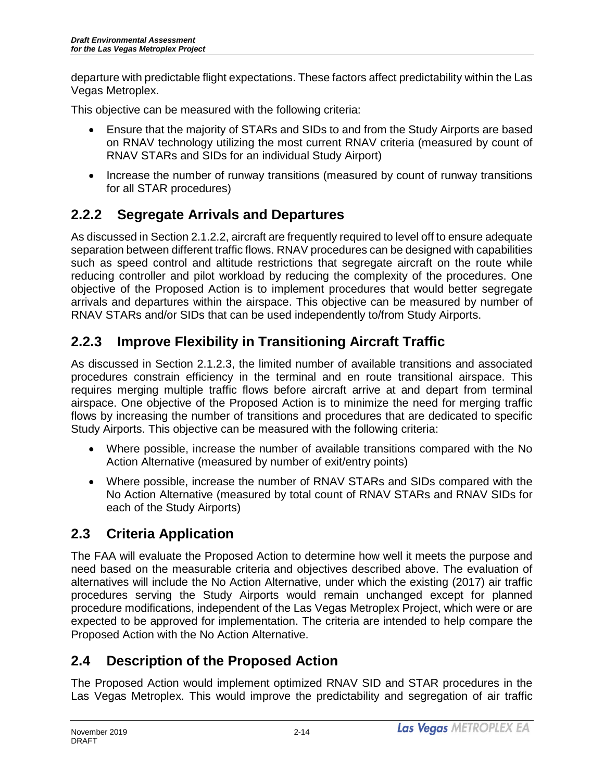departure with predictable flight expectations. These factors affect predictability within the Las Vegas Metroplex.

This objective can be measured with the following criteria:

- Ensure that the majority of STARs and SIDs to and from the Study Airports are based on RNAV technology utilizing the most current RNAV criteria (measured by count of RNAV STARs and SIDs for an individual Study Airport)
- Increase the number of runway transitions (measured by count of runway transitions for all STAR procedures)

# <span id="page-15-0"></span>**2.2.2 Segregate Arrivals and Departures**

As discussed in Section 2.1.2.2, aircraft are frequently required to level off to ensure adequate separation between different traffic flows. RNAV procedures can be designed with capabilities such as speed control and altitude restrictions that segregate aircraft on the route while reducing controller and pilot workload by reducing the complexity of the procedures. One objective of the Proposed Action is to implement procedures that would better segregate arrivals and departures within the airspace. This objective can be measured by number of RNAV STARs and/or SIDs that can be used independently to/from Study Airports.

## <span id="page-15-1"></span>**2.2.3 Improve Flexibility in Transitioning Aircraft Traffic**

As discussed in Section 2.1.2.3, the limited number of available transitions and associated procedures constrain efficiency in the terminal and en route transitional airspace. This requires merging multiple traffic flows before aircraft arrive at and depart from terminal airspace. One objective of the Proposed Action is to minimize the need for merging traffic flows by increasing the number of transitions and procedures that are dedicated to specific Study Airports. This objective can be measured with the following criteria:

- Where possible, increase the number of available transitions compared with the No Action Alternative (measured by number of exit/entry points)
- Where possible, increase the number of RNAV STARs and SIDs compared with the No Action Alternative (measured by total count of RNAV STARs and RNAV SIDs for each of the Study Airports)

# <span id="page-15-2"></span>**2.3 Criteria Application**

The FAA will evaluate the Proposed Action to determine how well it meets the purpose and need based on the measurable criteria and objectives described above. The evaluation of alternatives will include the No Action Alternative, under which the existing (2017) air traffic procedures serving the Study Airports would remain unchanged except for planned procedure modifications, independent of the Las Vegas Metroplex Project, which were or are expected to be approved for implementation. The criteria are intended to help compare the Proposed Action with the No Action Alternative.

# <span id="page-15-3"></span>**2.4 Description of the Proposed Action**

The Proposed Action would implement optimized RNAV SID and STAR procedures in the Las Vegas Metroplex. This would improve the predictability and segregation of air traffic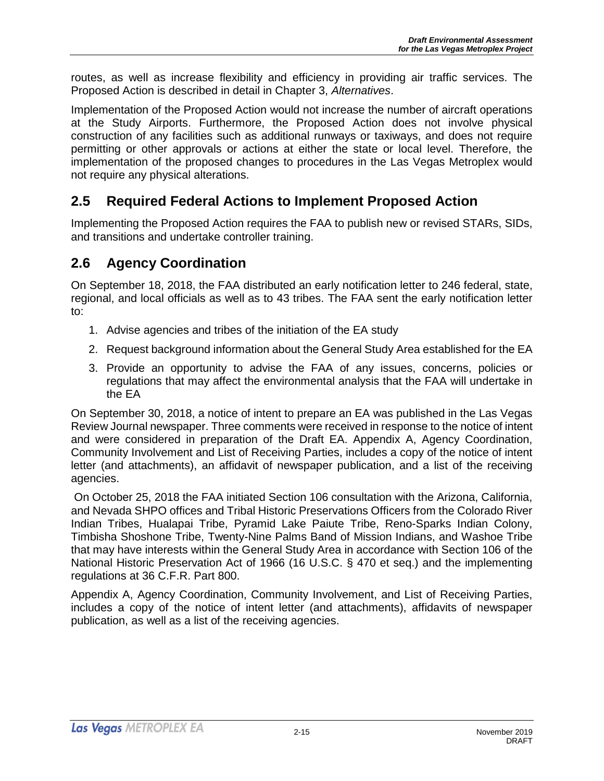routes, as well as increase flexibility and efficiency in providing air traffic services. The Proposed Action is described in detail in Chapter 3, *Alternatives*.

Implementation of the Proposed Action would not increase the number of aircraft operations at the Study Airports. Furthermore, the Proposed Action does not involve physical construction of any facilities such as additional runways or taxiways, and does not require permitting or other approvals or actions at either the state or local level. Therefore, the implementation of the proposed changes to procedures in the Las Vegas Metroplex would not require any physical alterations.

### <span id="page-16-0"></span>**2.5 Required Federal Actions to Implement Proposed Action**

Implementing the Proposed Action requires the FAA to publish new or revised STARs, SIDs, and transitions and undertake controller training.

#### <span id="page-16-1"></span>**2.6 Agency Coordination**

On September 18, 2018, the FAA distributed an early notification letter to 246 federal, state, regional, and local officials as well as to 43 tribes. The FAA sent the early notification letter to:

- 1. Advise agencies and tribes of the initiation of the EA study
- 2. Request background information about the General Study Area established for the EA
- 3. Provide an opportunity to advise the FAA of any issues, concerns, policies or regulations that may affect the environmental analysis that the FAA will undertake in the EA

On September 30, 2018, a notice of intent to prepare an EA was published in the Las Vegas Review Journal newspaper. Three comments were received in response to the notice of intent and were considered in preparation of the Draft EA. Appendix A, Agency Coordination, Community Involvement and List of Receiving Parties, includes a copy of the notice of intent letter (and attachments), an affidavit of newspaper publication, and a list of the receiving agencies.

On October 25, 2018 the FAA initiated Section 106 consultation with the Arizona, California, and Nevada SHPO offices and Tribal Historic Preservations Officers from the Colorado River Indian Tribes, Hualapai Tribe, Pyramid Lake Paiute Tribe, Reno-Sparks Indian Colony, Timbisha Shoshone Tribe, Twenty-Nine Palms Band of Mission Indians, and Washoe Tribe that may have interests within the General Study Area in accordance with Section 106 of the National Historic Preservation Act of 1966 (16 U.S.C. § 470 et seq.) and the implementing regulations at 36 C.F.R. Part 800.

Appendix A, Agency Coordination, Community Involvement, and List of Receiving Parties, includes a copy of the notice of intent letter (and attachments), affidavits of newspaper publication, as well as a list of the receiving agencies.